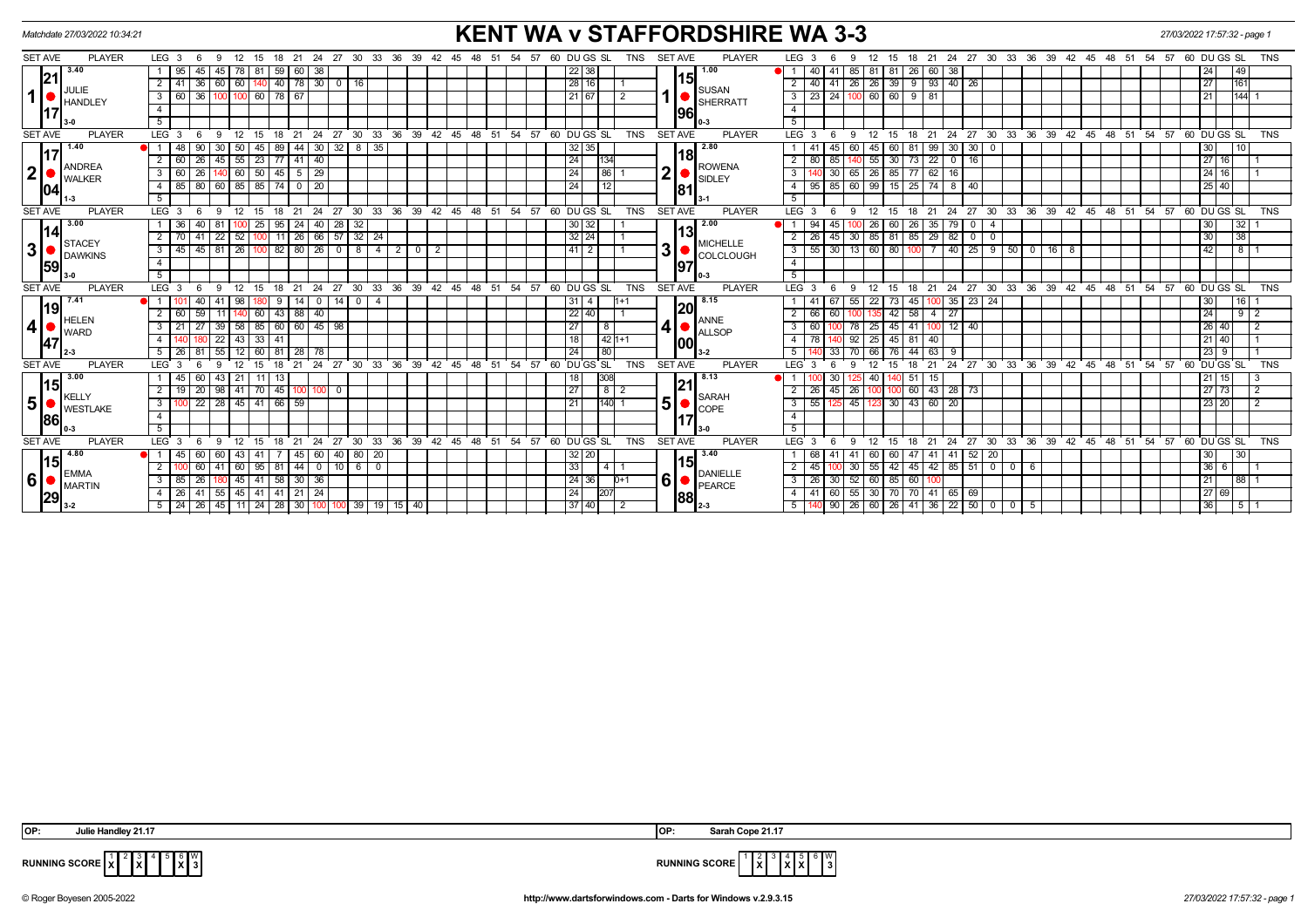| <b>KENT WA v STAFFORDSHIRE WA 3-3</b><br>Matchdate 27/03/2022 10:34:21 |                                      |                  |                 |                                |                 |              |                                                                      |                       |               |       |                                       |    |                        | 27/03/2022 17:57:32 - page 1 |                 |          |                 |               |           |            |                                                                                |                                                                                                                  |                                                                                                                                                                                          |
|------------------------------------------------------------------------|--------------------------------------|------------------|-----------------|--------------------------------|-----------------|--------------|----------------------------------------------------------------------|-----------------------|---------------|-------|---------------------------------------|----|------------------------|------------------------------|-----------------|----------|-----------------|---------------|-----------|------------|--------------------------------------------------------------------------------|------------------------------------------------------------------------------------------------------------------|------------------------------------------------------------------------------------------------------------------------------------------------------------------------------------------|
| SET AVE                                                                | <b>PLAYER</b>                        | LEG <sub>3</sub> | - 6             | 12 <sup>12</sup><br>-9         |                 |              |                                                                      |                       |               |       | 15 18 21 24 27 30 33 36 39 42         |    |                        |                              | 45 48 51 54     | 57       |                 | 60 DU GS SL   |           | TNS        | <b>SET AVE</b>                                                                 | <b>PLAYER</b>                                                                                                    | LEG <sub>3</sub><br>21 24 27 30 33 36 39 42 45 48 51<br>54 57<br>60 DU GS SL<br><b>TNS</b><br>15<br>12<br>18<br>9<br>-6                                                                  |
| 21 <br>$\mathbf 1$<br><b>I17</b>                                       | 3.40                                 | 95               | 45              | 45.                            | 78<br>-81       | 59           | 60                                                                   | 38                    |               |       |                                       |    |                        |                              |                 |          |                 | $22 \mid 38$  |           |            |                                                                                | 1.00                                                                                                             | 38<br>49<br>26<br>24<br>85<br>$\overline{1}$<br>-41<br>81   81<br>60                                                                                                                     |
|                                                                        |                                      | 2   41           | 36              | 60   60                        | 140             |              |                                                                      | 40   78   30   0   16 |               |       |                                       |    |                        |                              |                 |          |                 | 28 16         |           |            |                                                                                | 151                                                                                                              | 9 93 40 26<br>40 41 26 26 39<br>27<br>161<br>2                                                                                                                                           |
|                                                                        | JULIE<br><b>HANDLEY</b>              | 3<br>l 60        | 36              |                                | 60              | 78 67        |                                                                      |                       |               |       |                                       |    |                        |                              |                 |          |                 | 21 67         |           |            |                                                                                | <b>SUSAN</b><br>SHERRATT                                                                                         | 144<br>23 24<br>60 60<br>9   81<br>21<br>3                                                                                                                                               |
|                                                                        |                                      | $\overline{4}$   |                 |                                |                 |              |                                                                      |                       |               |       |                                       |    | 1961                   |                              | $\overline{4}$  |          |                 |               |           |            |                                                                                |                                                                                                                  |                                                                                                                                                                                          |
|                                                                        |                                      | 5                |                 |                                |                 |              |                                                                      |                       |               |       |                                       |    |                        |                              |                 |          |                 |               |           |            |                                                                                |                                                                                                                  | 5                                                                                                                                                                                        |
| <b>SET AVE</b>                                                         | <b>PLAYER</b>                        | $LEG^{\cdot}$ 3  |                 | $\mathbf{q}$                   |                 |              | 21                                                                   | 24<br>27              | ີ 30          | 33    | 36<br>ີ 39                            |    | $42 \quad 45$          | $48^{\circ}$                 | 51              | 54<br>57 |                 | 60 DUGS SL    |           | <b>TNS</b> | <b>SET AVE</b>                                                                 | <b>PLAYER</b>                                                                                                    | LEG <sub>3</sub><br>$30^{\circ}$<br>33 36 39<br>$42 \quad 45$<br>51<br>$54$ $57$ $60$ $DU$ $GS$ $SL$<br><b>TNS</b><br>21<br>24<br>$^{\circ}$ 27<br>-48<br>15<br>18                       |
| 117<br>2 <br> 04                                                       | 1.40                                 |                  | 90              | 50                             | 45              | 89           | 44                                                                   | 30                    | $32$   8   35 |       |                                       |    |                        |                              |                 |          |                 | 32 35         |           |            |                                                                                | 2.80                                                                                                             | 30 <sup>1</sup><br>30<br>60<br>99<br>30<br>45<br>-81<br>10<br>45<br>- 0                                                                                                                  |
|                                                                        | <b>ANDREA</b>                        | $2 \mid 60 \mid$ | $\overline{26}$ | $45 \ 55$                      | $\sqrt{23}$     |              | $77$ 41 40                                                           |                       |               |       |                                       |    |                        |                              |                 |          | $\overline{24}$ |               | 1134      | 18         | <b>ROWENA</b>                                                                  | $\sqrt{27}$ 16<br>$55 \ 30$<br>$73$ 22 0 16<br>85<br>2<br>80 l                                                   |                                                                                                                                                                                          |
|                                                                        | WALKER                               | 3   60           | 26              | $140$ 60                       | $\boxed{50}$    |              | $45 \mid 5 \mid 29$                                                  |                       |               |       |                                       |    |                        |                              |                 |          | $\overline{24}$ |               | 86 1      |            | $\mathbf 2$<br><b>SIDLEY</b>                                                   | 30<br>65 26 85 77 62<br>$-16$<br> 24 16<br>3                                                                     |                                                                                                                                                                                          |
|                                                                        |                                      | 4   85           | 80              | $60$ 85                        |                 | 85 74        | $\begin{array}{ c c c c c } \hline \text{O} & \text{20} \end{array}$ |                       |               |       |                                       |    |                        |                              | $\overline{24}$ | 12       |                 |               |           | 181        | $95$ 85<br>60 99 15<br>$25 \mid 74 \mid 8 \mid 40$<br> 25 40<br>$\overline{4}$ |                                                                                                                  |                                                                                                                                                                                          |
|                                                                        |                                      | 5                |                 |                                |                 |              |                                                                      |                       |               |       |                                       |    |                        |                              |                 |          |                 |               |           |            |                                                                                | l 3-1                                                                                                            |                                                                                                                                                                                          |
| <b>SET AVE</b>                                                         | <b>PLAYER</b>                        | LEG <sup>3</sup> | 6               | 9<br>12                        | 15              | 18           | 21                                                                   | 24<br>27              |               |       | 30 33 36 39 42 45 48 51 54 57         |    |                        |                              |                 |          |                 | 60 DUGS SL    |           | <b>TNS</b> | <b>SET AVE</b>                                                                 | <b>PLAYER</b>                                                                                                    | LEG <sub>3</sub><br>24 27 30 33 36 39 42 45 48 51 54 57 60 DUGS SL<br><b>TNS</b><br>12<br>15<br>21<br>- 6<br>9<br>18                                                                     |
| 14<br>3 <sup>1</sup><br>59                                             | 3.00                                 | 1   36           | 40              | 81                             | 25              | 95           | 24                                                                   | 40<br>28              | 32            |       |                                       |    |                        |                              |                 |          |                 | 30 32         |           |            | 2.00<br><b>MICHELLE</b><br>3<br>COLCLOUGH                                      | 32<br>30<br>60<br>26<br>79<br>45<br>26<br>35<br>$\overline{\mathbf{0}}$<br>4                                     |                                                                                                                                                                                          |
|                                                                        | <b>STACEY</b><br><b>DAWKINS</b>      | $2 \mid 70$      | 41              | $\overline{22}$<br>$\sqrt{52}$ |                 | 11           | 26                                                                   | 66                    | $57$ 32 $24$  |       |                                       |    |                        |                              |                 |          |                 | $32 \mid 24$  |           |            |                                                                                | 38<br>82<br>30<br>$30$ $85$ $81$<br>$85$ 29<br>45<br>$\overline{2}$<br>26<br>$\Omega$<br>$\overline{\mathbf{0}}$ |                                                                                                                                                                                          |
|                                                                        |                                      | $3 \mid 45$      | 45              | $81 \mid 26$                   | 100             |              | $82$ 80 $26$                                                         |                       |               |       | 202                                   |    |                        |                              |                 |          |                 | $41$   2      |           |            |                                                                                |                                                                                                                  | $40$ 25 9 50 0 16 8<br>42<br>30<br>13 60 80<br>81<br>$\overline{\mathbf{3}}$<br>55                                                                                                       |
|                                                                        |                                      | $\overline{4}$   |                 |                                |                 |              |                                                                      |                       |               |       |                                       |    |                        |                              |                 |          |                 |               |           |            |                                                                                | 197                                                                                                              | $\overline{4}$                                                                                                                                                                           |
|                                                                        |                                      | 5 <sup>7</sup>   |                 |                                |                 |              |                                                                      |                       |               |       |                                       |    |                        |                              |                 |          |                 |               |           |            |                                                                                | 0-3                                                                                                              | $\overline{5}$                                                                                                                                                                           |
| <b>SET AVE</b>                                                         | <b>PLAYER</b>                        | $LEG$ 3          | -6              | -9<br>12                       | 15              | 18           | 21                                                                   | 24<br>27              | ີ 30          |       | 33 36 39 42 45 48 51 54 57 60 DUGS SL |    |                        |                              |                 |          |                 |               |           | <b>TNS</b> | <b>SET AVE</b>                                                                 | <b>PLAYER</b>                                                                                                    | 24 27 30 33 36 39 42 45 48 51 54 57 60 DUGS SL<br><b>TNS</b><br>LEG <sub>3</sub><br>21<br>12<br>15<br>18                                                                                 |
| 19                                                                     | 17.41<br><b>HELEN</b><br><b>WARD</b> | $\bullet$ i 1    | 40 <sup>1</sup> | 41<br>  98                     |                 | -9           | 14 <sup>1</sup>                                                      | $\mathbf 0$           | $14$ 0 4      |       |                                       |    |                        |                              |                 |          |                 | 31   4        |           |            |                                                                                | 8.15<br> 20                                                                                                      | $ 00 $ 35 23 24<br>30 <sub>1</sub><br>16<br>55 22 73<br>67<br>45                                                                                                                         |
|                                                                        |                                      | $2 \mid 60$      | 59              | 11                             | 60              | $43 \mid 88$ |                                                                      | 40                    |               |       |                                       |    |                        |                              |                 |          |                 | $22\sqrt{40}$ |           |            | <b>ANNE</b><br>4 <sub>1</sub><br>ALLSOP                                        | 27<br>24<br>58<br>$9$   2<br>2<br>60<br>42<br>66<br>4                                                            |                                                                                                                                                                                          |
| 4                                                                      |                                      | 3                | 27              | 39<br>58                       | 85              |              |                                                                      | 60 60 45 98           |               |       |                                       |    |                        |                              |                 |          | $\overline{27}$ |               | 8         |            |                                                                                | $12 \mid 40$<br>26 40<br>45<br>3<br>25<br>$\mathbf{4}^{\prime}$                                                  |                                                                                                                                                                                          |
| <b>47</b>                                                              |                                      | $\overline{4}$   |                 | 22<br>43                       | 33              | 41           |                                                                      |                       |               |       |                                       |    |                        |                              |                 |          | 18              |               | $142 + 1$ |            |                                                                                | 21 40<br>92<br>45<br>40<br>$\overline{4}$<br>81                                                                  |                                                                                                                                                                                          |
|                                                                        |                                      | 5                |                 |                                | 60              |              | 28                                                                   | 78                    |               |       |                                       |    |                        |                              |                 |          | 24              |               | 80        |            |                                                                                |                                                                                                                  | 23<br>9<br>33<br>9                                                                                                                                                                       |
| <b>SET AVE</b>                                                         | <b>PLAYER</b>                        | $LEG$ 3          |                 |                                |                 |              |                                                                      | 24<br>27              | 30            | 33    | 36<br>39                              | 42 | 45                     | 48                           | 51              | 54<br>57 |                 | 60 DU GS SL   |           | <b>TNS</b> | <b>SET AVE</b>                                                                 | <b>PLAYER</b>                                                                                                    | 39<br>24<br>27<br>30<br>33<br>36<br>42<br>48<br>51<br>54<br>DU GS SL<br>LEG<br>21<br>45<br>57<br>60<br><b>TNS</b>                                                                        |
| <u> 15</u>                                                             | 3.00                                 | 45               | 60              | 43 21                          | 11              | - 13         |                                                                      |                       |               |       |                                       |    |                        |                              |                 |          | 18              |               | 308       |            |                                                                                | 8.13<br>121                                                                                                      | 30<br>21 15<br>40<br>51<br>15                                                                                                                                                            |
|                                                                        | <b>KELLY</b>                         | 2 I<br>- 19 I    | 20              | $98$   41                      | $\overline{70}$ |              |                                                                      | 45   100   100   0    |               |       |                                       |    |                        |                              |                 |          | 27              |               | $8$  2    |            |                                                                                | SARAH                                                                                                            | 27 73<br>45<br>60 43 28 73<br>26 I<br>26<br>100<br><b>00</b>                                                                                                                             |
| 5 <sup>1</sup>                                                         | <b>WESTLAKE</b>                      | $\mathbf{3}$     | 22              | 28   45                        | 41              | 66 59        |                                                                      |                       |               |       |                                       |    |                        |                              |                 |          | 21              |               | 140       |            | 5                                                                              | <b>ICOPE</b>                                                                                                     | 23 20<br>45<br>23 30<br>43 60<br>20<br>3<br>55                                                                                                                                           |
| 86                                                                     |                                      | $\overline{4}$   |                 |                                |                 |              |                                                                      |                       |               |       |                                       |    |                        |                              |                 |          |                 |               |           |            |                                                                                |                                                                                                                  | $\overline{4}$                                                                                                                                                                           |
|                                                                        |                                      | 5                |                 |                                |                 |              |                                                                      |                       |               |       |                                       |    |                        |                              |                 |          |                 |               |           |            |                                                                                | 5                                                                                                                |                                                                                                                                                                                          |
| <b>SET AVE</b>                                                         | <b>PLAYER</b>                        | LEG <sub>3</sub> |                 | 9<br>12                        | 15              | 18           | 21                                                                   | 24<br>27              | 30            | 33    | ີ 36                                  |    | $39 \quad 42 \quad 45$ | ີ 48                         | 51              | 54<br>57 |                 | 60 DU GS SL   |           | <b>TNS</b> | <b>SET AVE</b>                                                                 | <b>PLAYER</b>                                                                                                    | LEG <sub>3</sub><br>24<br>27<br>$30^{\circ}$<br>$33^\circ$<br>$36 \quad 39$<br>$42 \quad 45 \quad 48$<br>51<br>54.57<br>60 DUGS SL<br><b>TNS</b><br>12<br>15<br>18<br>21<br>$\mathbf{Q}$ |
| <b>115</b><br>6 <sup>1</sup><br>29                                     | 4.80                                 | l 45             | 60              | 43<br>-60                      | 41              |              | 45                                                                   | 60                    | $40$ 80 $20$  |       |                                       |    |                        |                              |                 |          |                 | 32 20         |           |            |                                                                                | 3.40<br>l15I                                                                                                     | 41 41 52 20<br>30 <sub>2</sub><br> 30 <br>60 60<br>68   41<br>47                                                                                                                         |
|                                                                        | <b>EMMA</b>                          | 2 I              | 60              | $41$ 60                        |                 |              | 95   81   44   0                                                     |                       | $10$ $6$ $0$  |       |                                       |    |                        |                              |                 |          | 33              |               | 4   1     |            | <b>DANIELLE</b><br>6                                                           |                                                                                                                  | $36 \mid 6$<br>$45$   42   85   51   0   0   6<br>2<br>$30 \mid 55 \mid 42$<br>45                                                                                                        |
|                                                                        | <b>MARTIN</b>                        | 3   85           | 26              | $180$ 45                       | 41              |              | $58$ 30 36                                                           |                       |               |       |                                       |    |                        |                              |                 |          |                 | 24 36         | $D+1$     |            |                                                                                | <b>IPEARCE</b>                                                                                                   | 21 <br>26 30<br>52 60 85<br> 88 1<br>3<br>60                                                                                                                                             |
|                                                                        |                                      | 4   26           | 41              | $55 \mid 45$                   | 41              |              | 41 21 24                                                             |                       |               |       |                                       |    |                        |                              |                 |          | 24              |               | 1207      |            |                                                                                | 88                                                                                                               | 27 69<br>$41$ 60<br>55 30 70<br>70 41 65 69<br>$\overline{4}$                                                                                                                            |
|                                                                        |                                      | $5 \mid 24 \mid$ | 26              | 45 11 24 28 30                 |                 |              |                                                                      |                       |               | 39 19 | $15 \mid 40$                          |    |                        |                              |                 |          |                 | 37 40         |           |            |                                                                                | 12-3                                                                                                             | 36<br>$36 \mid 22 \mid 50 \mid 0$<br>90 <sub>1</sub><br>26 60 26<br>5<br>41<br>$\overline{0}$<br>- 5                                                                                     |

 **OP: Julie Handley 21.17 OP: Sarah Cope 21.17**

**X** 5 6 **X** l 3



**RUNNING SCORE**  $\begin{bmatrix} 1 \\ \mathbf{X} \end{bmatrix}^2 \begin{bmatrix} 2 \\ \mathbf{X} \end{bmatrix}^3$